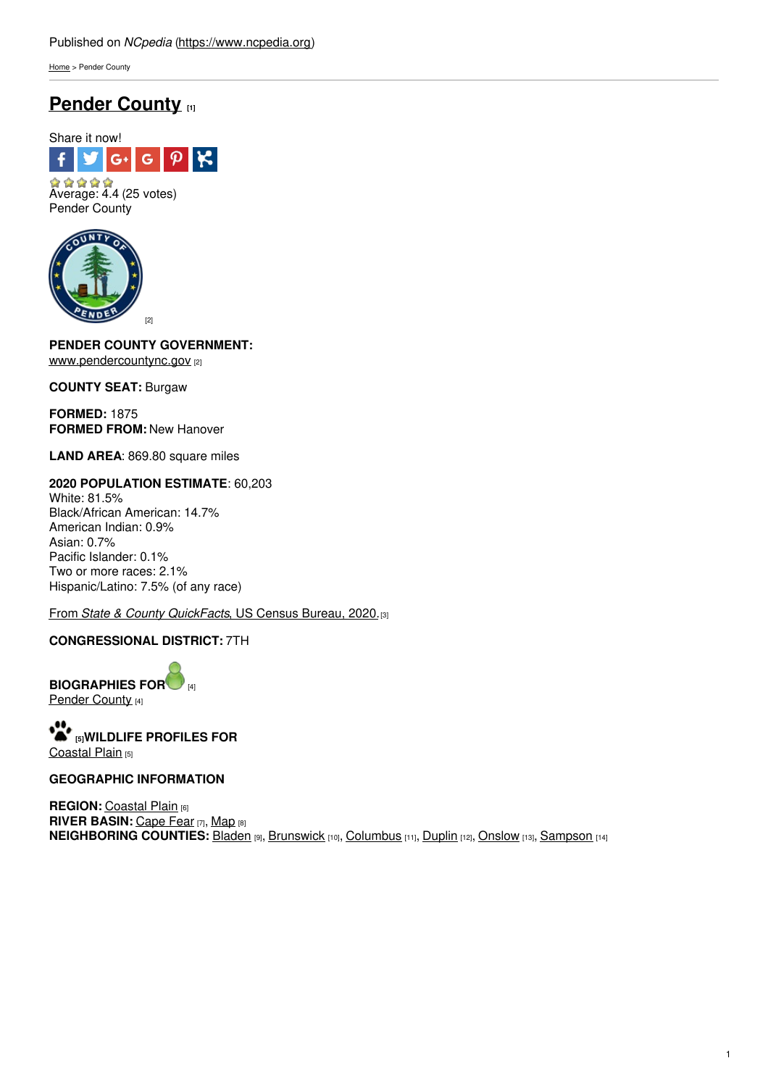[Home](https://www.ncpedia.org/) > Pender County

# **Pender [County](https://www.ncpedia.org/geography/pender) [1]**



 $A \land A \land A$ <br>Average: 4.4 (25 votes) Pender County



**PENDER COUNTY GOVERNMEN[T:](http://www.social9.com)** [www.pendercountync.gov](https://www.pendercountync.gov/) [2]

**COUNTY SEAT:** Burgaw

**FORMED:** 1875 **FORMED FROM:** New Hanover

**LAND AREA**: 869.80 square miles

## **2020 POPULATION ESTIMATE**: 60,203

White: 81.5% Black/African American: 14.7% American Indian: 0.9% Asian: 0.7% Pacific Islander: 0.1% Two or more races: 2.1% Hispanic/Latino: 7.5% (of any race)

From *State & County [QuickFacts](https://www.census.gov/quickfacts/fact/table/pendercountynorthcarolina/POP010220)*, US Census Bureau, 2020.[3]

## **CONGRESSIONAL DISTRICT:** 7TH

**BIOGRAPHIES FO[R](https://www.ncpedia.org/geography/pender-county/biography)** [4] [Pender](https://www.ncpedia.org/geography/pender-county/biography) County [4]

**[5]WILDLIFE PROFILES FOR** [Coastal](https://www.ncpedia.org/wildlife/coastal-plain) Plain [5]

### **GEOGRAPHIC INFORMATION**

**REGION: [Coastal](https://www.ncpedia.org/geography/region/coastal-plain) Plain [6] RIVER BASIN:** [Cape](https://files.nc.gov/deqee/documents/files/cape-fear-river-basin.pdf) Fear [7], [Map](https://ncdenr.maps.arcgis.com/apps/PublicInformation/index.html?appid=f82f583438e74bf29adcc76247381eee) [8] **NEIGHBORING COUNTIES:** [Bladen](https://www.ncpedia.org/geography/bladen) [9], [Brunswick](https://www.ncpedia.org/geography/brunswick) [10], [Columbus](https://www.ncpedia.org/geography/columbus) [11], [Duplin](https://www.ncpedia.org/geography/duplin) [12], [Onslow](https://www.ncpedia.org/geography/onslow) [13], [Sampson](https://www.ncpedia.org/geography/sampson) [14]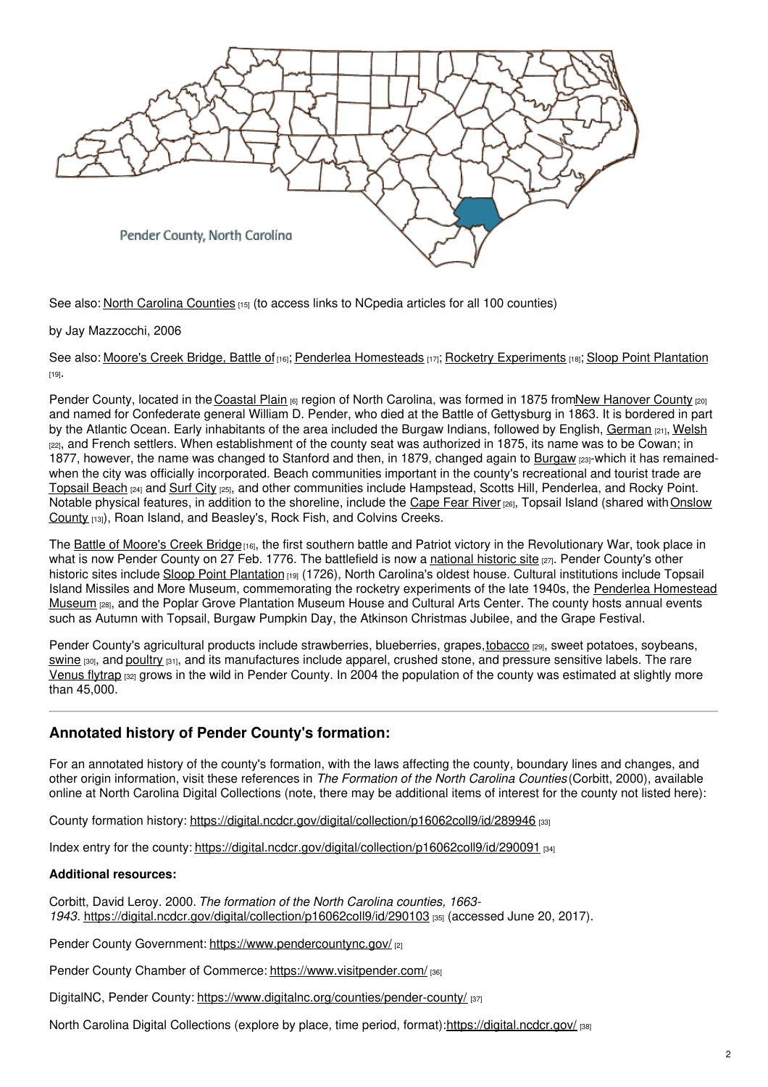

See also: North Carolina [Counties](https://www.ncpedia.org/geography/counties) [15] (to access links to NCpedia articles for all 100 counties)

#### by Jay Mazzocchi, 2006

See also: [Moore's](https://www.ncpedia.org/moores-creek-bridge-battle) Creek Bridge, Battle of [16]; Penderlea [Homesteads](https://ncpedia.org/penderlea-homesteads) [17]; Rocketry [Experiments](https://ncpedia.org/rocketry-experiments) [18]; Sloop Point [Plantation](https://www.ncpedia.org/sloop-point-plantation)  $[19]$ .

Pender County, located in the [Coastal](https://www.ncpedia.org/geography/region/coastal-plain) Plain [6] region of North Carolina, was formed in 1875 fromNew [Hanover](https://www.ncpedia.org/geography/new-hanover) County [20] and named for Confederate general William D. Pender, who died at the Battle of Gettysburg in 1863. It is bordered in part by the Atlantic Ocean. Early inhabitants of the area included the Burgaw Indians, followed by English, [German](https://www.ncpedia.org/german-settlers) [21], [Welsh](https://www.ncpedia.org/welsh-settlers) [22], and French settlers. When establishment of the county seat was authorized in 1875, its name was to be Cowan; in 1877, however, the name was changed to Stanford and then, in 1879, changed again to [Burgaw](https://burgawnc.gov) [23]-which it has remainedwhen the city was officially incorporated. Beach communities important in the county's recreational and tourist trade are [Topsail](https://topsailbeachnc.gov/) Beach [24] and [Surf](http://www.surfcitync.gov/) City [25], and other communities include Hampstead, Scotts Hill, Penderlea, and Rocky Point. Notable physical features, in addition to the shoreline, include the [Cape](https://www.ncpedia.org/rivers/cape-fear) Fear River [26], Topsail Island (shared with Onslow County [13]), Roan Island, and Beasley's, Rock Fish, and Colvins Creeks.

The Battle of [Moore's](https://www.ncpedia.org/moores-creek-bridge-battle) Creek Bridge<sub>[16]</sub>, the first southern battle and Patriot victory in the Revolutionary War, took place in what is now Pender County on 27 Feb. 1776. The battlefield is now a [national](https://www.nps.gov/mocr/index.htm) historic site <sub>[27]</sub>. Pender County's other historic sites include Sloop Point [Plantation](https://www.ncpedia.org/sloop-point-plantation) [19] (1726), North Carolina's oldest house. Cultural institutions include Topsail Island Missiles and More Museum, [commemorating](http://www.penderleahomesteadmuseum.org/) the rocketry experiments of the late 1940s, the Penderlea Homestead Museum [28], and the Poplar Grove Plantation Museum House and Cultural Arts Center. The county hosts annual events such as Autumn with Topsail, Burgaw Pumpkin Day, the Atkinson Christmas Jubilee, and the Grape Festival.

Pender County's agricultural products include strawberries, blueberries, grapes, [tobacco](https://www.ncpedia.org/tobacco) [29], sweet potatoes, soybeans, [swine](https://www.ncpedia.org/hog-farming)  $\frac{1}{301}$ , and [poultry](https://www.ncpedia.org/poultry)  $\frac{1}{311}$ , and its manufactures include apparel, crushed stone, and pressure sensitive labels. The rare [Venus](https://www.ncpedia.org/carnivorous-plant-venus-flytrap) flytrap [32] grows in the wild in Pender County. In 2004 the population of the county was estimated at slightly more than 45,000.

## **Annotated history of Pender County's formation:**

For an annotated history of the county's formation, with the laws affecting the county, boundary lines and changes, and other origin information, visit these references in *The Formation of the North Carolina Counties* (Corbitt, 2000), available online at North Carolina Digital Collections (note, there may be additional items of interest for the county not listed here):

County formation history: <https://digital.ncdcr.gov/digital/collection/p16062coll9/id/289946> [33]

Index entry for the county: <https://digital.ncdcr.gov/digital/collection/p16062coll9/id/290091> [34]

#### **Additional resources:**

Corbitt, David Leroy. 2000. *The formation of the North Carolina counties, 1663- 1943*. <https://digital.ncdcr.gov/digital/collection/p16062coll9/id/290103> [35] (accessed June 20, 2017).

Pender County Government: <https://www.pendercountync.gov/> [2]

Pender County Chamber of Commerce: <https://www.visitpender.com/> [36]

DigitalNC, Pender County: <https://www.digitalnc.org/counties/pender-county/> [37]

North Carolina Digital Collections (explore by place, time period, format):<https://digital.ncdcr.gov/> [38]